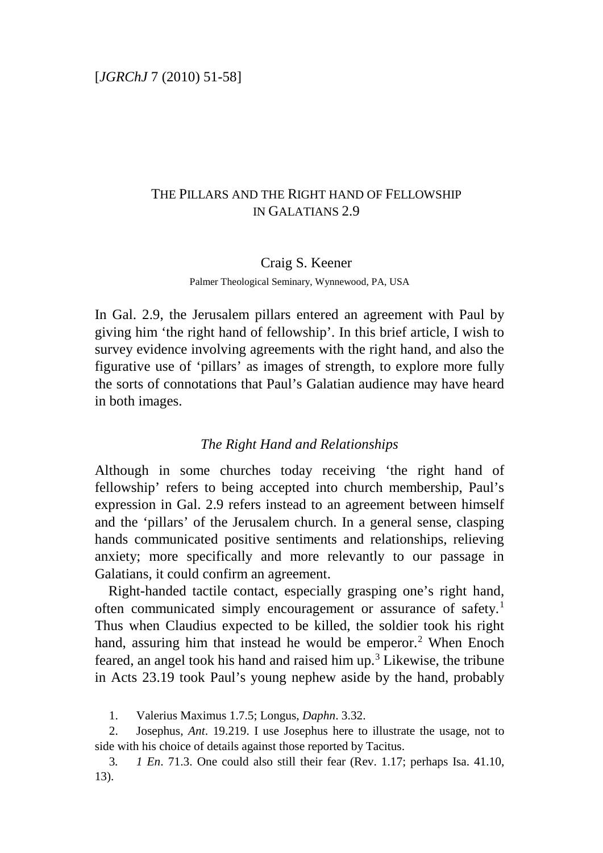## THE PILLARS AND THE RIGHT HAND OF FELLOWSHIP IN GALATIANS 2.9

# Craig S. Keener

Palmer Theological Seminary, Wynnewood, PA, USA

In Gal. 2.9, the Jerusalem pillars entered an agreement with Paul by giving him 'the right hand of fellowship'. In this brief article, I wish to survey evidence involving agreements with the right hand, and also the figurative use of 'pillars' as images of strength, to explore more fully the sorts of connotations that Paul's Galatian audience may have heard in both images.

#### *The Right Hand and Relationships*

Although in some churches today receiving 'the right hand of fellowship' refers to being accepted into church membership, Paul's expression in Gal. 2.9 refers instead to an agreement between himself and the 'pillars' of the Jerusalem church. In a general sense, clasping hands communicated positive sentiments and relationships, relieving anxiety; more specifically and more relevantly to our passage in Galatians, it could confirm an agreement.

Right-handed tactile contact, especially grasping one's right hand, often communicated simply encouragement or assurance of safety.[1](#page-0-0) Thus when Claudius expected to be killed, the soldier took his right hand, assuring him that instead he would be emperor.<sup>[2](#page-0-1)</sup> When Enoch feared, an angel took his hand and raised him up.<sup>[3](#page-0-2)</sup> Likewise, the tribune in Acts 23.19 took Paul's young nephew aside by the hand, probably

1. Valerius Maximus 1.7.5; Longus, *Daphn*. 3.32.

<span id="page-0-1"></span><span id="page-0-0"></span>2. Josephus, *Ant*. 19.219. I use Josephus here to illustrate the usage, not to side with his choice of details against those reported by Tacitus.

<span id="page-0-2"></span>3*. 1 En*. 71.3. One could also still their fear (Rev. 1.17; perhaps Isa. 41.10, 13).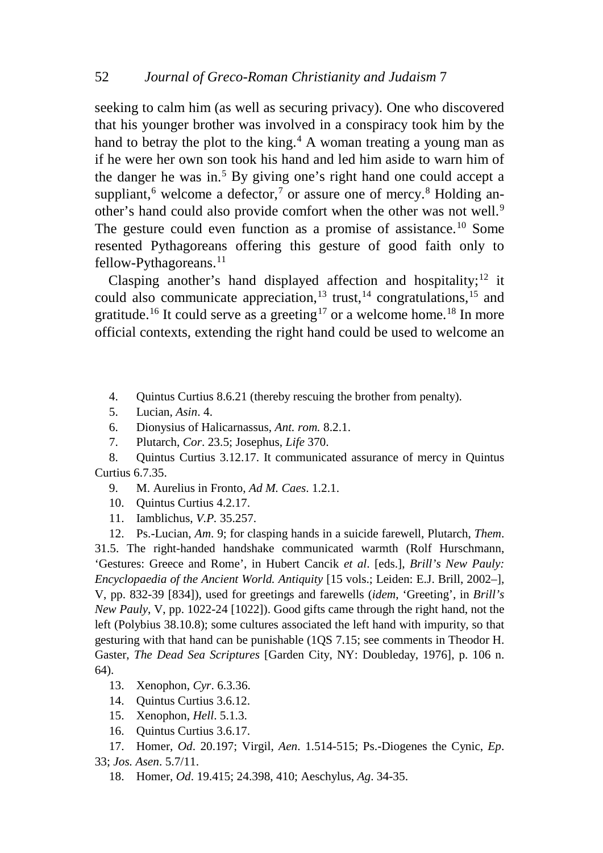seeking to calm him (as well as securing privacy). One who discovered that his younger brother was involved in a conspiracy took him by the hand to betray the plot to the king.<sup>[4](#page-1-0)</sup> A woman treating a young man as if he were her own son took his hand and led him aside to warn him of the danger he was in.<sup>[5](#page-1-1)</sup> By giving one's right hand one could accept a suppliant,<sup>[6](#page-1-2)</sup> welcome a defector,<sup>[7](#page-1-3)</sup> or assure one of mercy.<sup>[8](#page-1-4)</sup> Holding an-other's hand could also provide comfort when the other was not well.<sup>[9](#page-1-5)</sup> The gesture could even function as a promise of assistance.<sup>[10](#page-1-6)</sup> Some resented Pythagoreans offering this gesture of good faith only to fellow-Pythagoreans. $^{11}$  $^{11}$  $^{11}$ 

Clasping another's hand displayed affection and hospitality;<sup>[12](#page-1-8)</sup> it could also communicate appreciation,<sup>[13](#page-1-9)</sup> trust,<sup>14</sup> congratulations,<sup>[15](#page-1-11)</sup> and gratitude.<sup>[16](#page-1-12)</sup> It could serve as a greeting<sup>[17](#page-1-13)</sup> or a welcome home.<sup>[18](#page-1-14)</sup> In more official contexts, extending the right hand could be used to welcome an

- <span id="page-1-0"></span>4. Quintus Curtius 8.6.21 (thereby rescuing the brother from penalty).
- 5. Lucian, *Asin*. 4.
- 6. Dionysius of Halicarnassus, *Ant. rom.* 8.2.1.
- 7. Plutarch, *Cor*. 23.5; Josephus, *Life* 370.

<span id="page-1-5"></span><span id="page-1-4"></span><span id="page-1-3"></span><span id="page-1-2"></span><span id="page-1-1"></span>8. Quintus Curtius 3.12.17. It communicated assurance of mercy in Quintus Curtius 6.7.35.

- 9. M. Aurelius in Fronto, *Ad M. Caes*. 1.2.1.
- 10. Quintus Curtius 4.2.17.
- 11. Iamblichus, *V.P.* 35.257.

<span id="page-1-8"></span><span id="page-1-7"></span><span id="page-1-6"></span>12. Ps.-Lucian, *Am*. 9; for clasping hands in a suicide farewell, Plutarch, *Them*. 31.5. The right-handed handshake communicated warmth (Rolf Hurschmann, 'Gestures: Greece and Rome', in Hubert Cancik *et al*. [eds.], *Brill's New Pauly: Encyclopaedia of the Ancient World. Antiquity* [15 vols.; Leiden: E.J. Brill, 2002–], V, pp. 832-39 [834]), used for greetings and farewells (*idem*, 'Greeting', in *Brill's New Pauly*, V, pp. 1022-24 [1022]). Good gifts came through the right hand, not the left (Polybius 38.10.8); some cultures associated the left hand with impurity, so that gesturing with that hand can be punishable (1QS 7.15; see comments in Theodor H. Gaster, *The Dead Sea Scriptures* [Garden City, NY: Doubleday, 1976], p. 106 n. 64).

- <span id="page-1-9"></span>13. Xenophon, *Cyr*. 6.3.36.
- 14. Quintus Curtius 3.6.12.
- 15. Xenophon, *Hell*. 5.1.3.
- 16. Quintus Curtius 3.6.17.
- <span id="page-1-14"></span><span id="page-1-13"></span><span id="page-1-12"></span><span id="page-1-11"></span><span id="page-1-10"></span>17. Homer, *Od*. 20.197; Virgil, *Aen*. 1.514-515; Ps.-Diogenes the Cynic, *Ep*. 33; *Jos. Asen*. 5.7/11.
	- 18. Homer, *Od*. 19.415; 24.398, 410; Aeschylus, *Ag*. 34-35.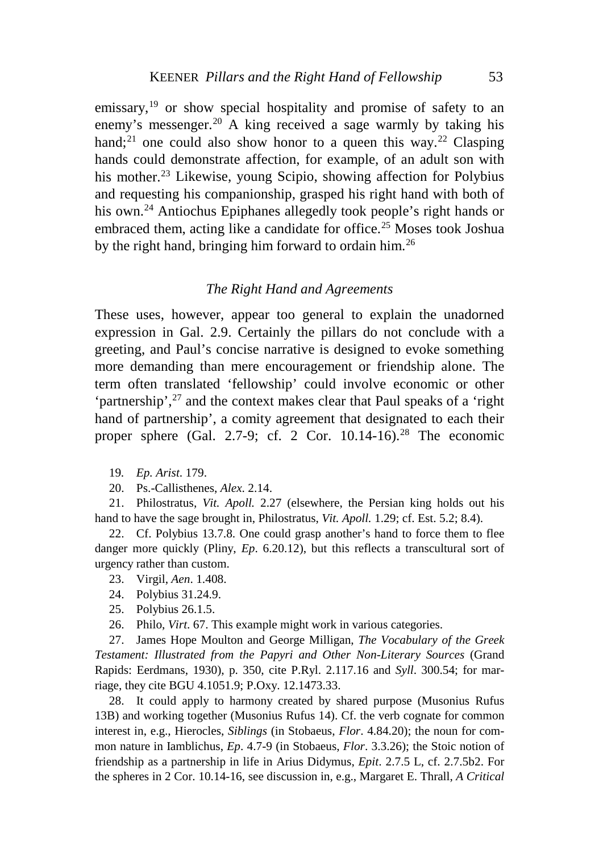emissary,<sup>[19](#page-2-0)</sup> or show special hospitality and promise of safety to an enemy's messenger.<sup>[20](#page-2-1)</sup> A king received a sage warmly by taking his hand;<sup>[21](#page-2-2)</sup> one could also show honor to a queen this way.<sup>[22](#page-2-3)</sup> Clasping hands could demonstrate affection, for example, of an adult son with his mother.<sup>[23](#page-2-4)</sup> Likewise, young Scipio, showing affection for Polybius and requesting his companionship, grasped his right hand with both of his own.[24](#page-2-5) Antiochus Epiphanes allegedly took people's right hands or embraced them, acting like a candidate for office.<sup>[25](#page-2-6)</sup> Moses took Joshua by the right hand, bringing him forward to ordain him.[26](#page-2-7)

#### *The Right Hand and Agreements*

These uses, however, appear too general to explain the unadorned expression in Gal. 2.9. Certainly the pillars do not conclude with a greeting, and Paul's concise narrative is designed to evoke something more demanding than mere encouragement or friendship alone. The term often translated 'fellowship' could involve economic or other 'partnership',<sup>[27](#page-2-8)</sup> and the context makes clear that Paul speaks of a 'right hand of partnership', a comity agreement that designated to each their proper sphere (Gal. 2.7-9; cf. 2 Cor.  $10.14$ -16).<sup>[28](#page-2-9)</sup> The economic

19*. Ep. Arist*. 179.

20. Ps.-Callisthenes, *Alex*. 2.14.

<span id="page-2-2"></span><span id="page-2-1"></span><span id="page-2-0"></span>21. Philostratus, *Vit. Apoll.* 2.27 (elsewhere, the Persian king holds out his hand to have the sage brought in, Philostratus, *Vit. Apoll.* 1.29; cf. Est. 5.2; 8.4).

<span id="page-2-4"></span><span id="page-2-3"></span>22. Cf. Polybius 13.7.8. One could grasp another's hand to force them to flee danger more quickly (Pliny, *Ep*. 6.20.12), but this reflects a transcultural sort of urgency rather than custom.

23. Virgil, *Aen*. 1.408.

- 24. Polybius 31.24.9.
- 25. Polybius 26.1.5.
- 26. Philo, *Virt*. 67. This example might work in various categories.

<span id="page-2-8"></span><span id="page-2-7"></span><span id="page-2-6"></span><span id="page-2-5"></span>27. James Hope Moulton and George Milligan, *The Vocabulary of the Greek Testament: Illustrated from the Papyri and Other Non-Literary Sources* (Grand Rapids: Eerdmans, 1930), p. 350, cite P.Ryl. 2.117.16 and *Syll*. 300.54; for marriage, they cite BGU 4.1051.9; P.Oxy. 12.1473.33.

<span id="page-2-9"></span>28. It could apply to harmony created by shared purpose (Musonius Rufus 13B) and working together (Musonius Rufus 14). Cf. the verb cognate for common interest in, e.g., Hierocles, *Siblings* (in Stobaeus, *Flor*. 4.84.20); the noun for common nature in Iamblichus, *Ep*. 4.7-9 (in Stobaeus, *Flor*. 3.3.26); the Stoic notion of friendship as a partnership in life in Arius Didymus, *Epit*. 2.7.5 L, cf. 2.7.5b2. For the spheres in 2 Cor. 10.14-16, see discussion in, e.g., Margaret E. Thrall, *A Critical*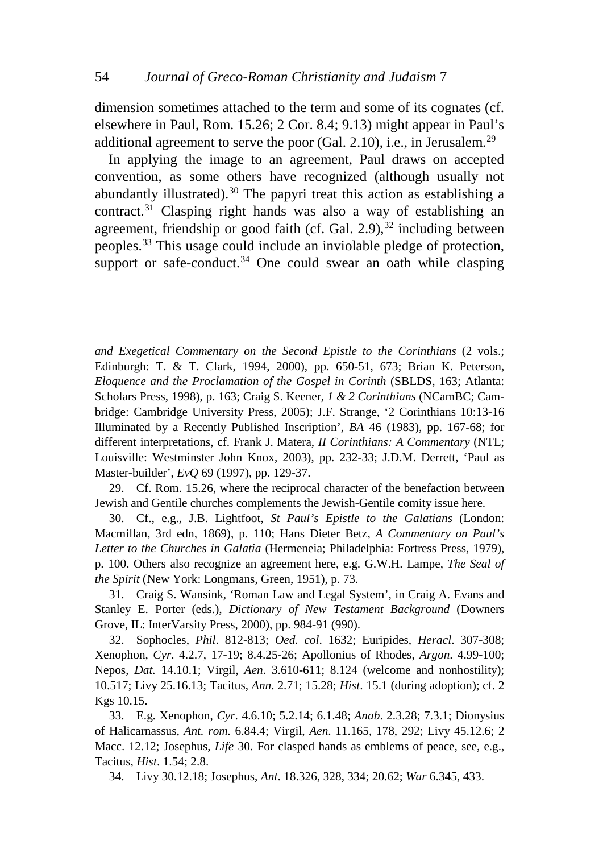dimension sometimes attached to the term and some of its cognates (cf. elsewhere in Paul, Rom. 15.26; 2 Cor. 8.4; 9.13) might appear in Paul's additional agreement to serve the poor (Gal. 2.10), i.e., in Jerusalem.<sup>[29](#page-3-0)</sup>

In applying the image to an agreement, Paul draws on accepted convention, as some others have recognized (although usually not abundantly illustrated).[30](#page-3-1) The papyri treat this action as establishing a contract.[31](#page-3-2) Clasping right hands was also a way of establishing an agreement, friendship or good faith (cf. Gal.  $2.9$ ),  $32$  including between peoples.[33](#page-3-4) This usage could include an inviolable pledge of protection, support or safe-conduct. $34$  One could swear an oath while clasping

*and Exegetical Commentary on the Second Epistle to the Corinthians* (2 vols.; Edinburgh: T. & T. Clark, 1994, 2000), pp. 650-51, 673; Brian K. Peterson, *Eloquence and the Proclamation of the Gospel in Corinth* (SBLDS, 163; Atlanta: Scholars Press, 1998), p. 163; Craig S. Keener, *1 & 2 Corinthians* (NCamBC; Cambridge: Cambridge University Press, 2005); J.F. Strange, '2 Corinthians 10:13-16 Illuminated by a Recently Published Inscription', *BA* 46 (1983), pp. 167-68; for different interpretations, cf. Frank J. Matera, *II Corinthians: A Commentary* (NTL; Louisville: Westminster John Knox, 2003), pp. 232-33; J.D.M. Derrett, 'Paul as Master-builder', *EvQ* 69 (1997), pp. 129-37.

<span id="page-3-0"></span>29. Cf. Rom. 15.26, where the reciprocal character of the benefaction between Jewish and Gentile churches complements the Jewish-Gentile comity issue here.

<span id="page-3-1"></span>30. Cf., e.g., J.B. Lightfoot, *St Paul's Epistle to the Galatians* (London: Macmillan, 3rd edn, 1869), p. 110; Hans Dieter Betz, *A Commentary on Paul's Letter to the Churches in Galatia* (Hermeneia; Philadelphia: Fortress Press, 1979), p. 100. Others also recognize an agreement here, e.g. G.W.H. Lampe, *The Seal of the Spirit* (New York: Longmans, Green, 1951), p. 73.

<span id="page-3-2"></span>31. Craig S. Wansink, 'Roman Law and Legal System', in Craig A. Evans and Stanley E. Porter (eds.), *Dictionary of New Testament Background* (Downers Grove, IL: InterVarsity Press, 2000), pp. 984-91 (990).

<span id="page-3-3"></span>32. Sophocles, *Phil*. 812-813; *Oed. col*. 1632; Euripides, *Heracl*. 307-308; Xenophon, *Cyr*. 4.2.7, 17-19; 8.4.25-26; Apollonius of Rhodes, *Argon*. 4.99-100; Nepos, *Dat.* 14.10.1; Virgil, *Aen*. 3.610-611; 8.124 (welcome and nonhostility); 10.517; Livy 25.16.13; Tacitus, *Ann*. 2.71; 15.28; *Hist*. 15.1 (during adoption); cf. 2 Kgs 10.15.

<span id="page-3-4"></span>33. E.g. Xenophon, *Cyr*. 4.6.10; 5.2.14; 6.1.48; *Anab*. 2.3.28; 7.3.1; Dionysius of Halicarnassus, *Ant. rom.* 6.84.4; Virgil, *Aen*. 11.165, 178, 292; Livy 45.12.6; 2 Macc. 12.12; Josephus, *Life* 30. For clasped hands as emblems of peace, see, e.g., Tacitus, *Hist*. 1.54; 2.8.

<span id="page-3-5"></span>34. Livy 30.12.18; Josephus, *Ant*. 18.326, 328, 334; 20.62; *War* 6.345, 433.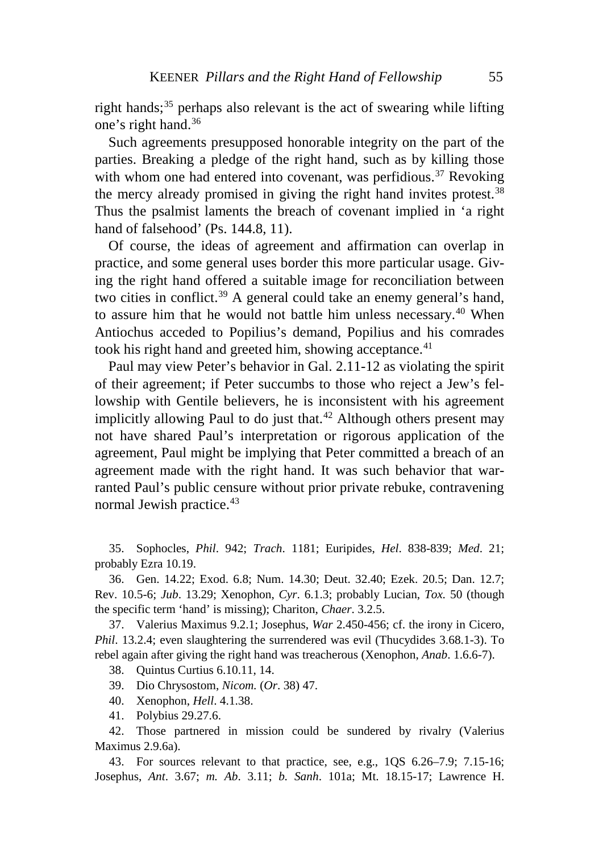right hands; $35$  perhaps also relevant is the act of swearing while lifting one's right hand.[36](#page-4-1)

Such agreements presupposed honorable integrity on the part of the parties. Breaking a pledge of the right hand, such as by killing those with whom one had entered into covenant, was perfidious.<sup>[37](#page-4-2)</sup> Revoking the mercy already promised in giving the right hand invites protest.<sup>[38](#page-4-3)</sup> Thus the psalmist laments the breach of covenant implied in 'a right hand of falsehood' (Ps. 144.8, 11).

Of course, the ideas of agreement and affirmation can overlap in practice, and some general uses border this more particular usage. Giving the right hand offered a suitable image for reconciliation between two cities in conflict.<sup>[39](#page-4-4)</sup> A general could take an enemy general's hand, to assure him that he would not battle him unless necessary.[40](#page-4-5) When Antiochus acceded to Popilius's demand, Popilius and his comrades took his right hand and greeted him, showing acceptance.<sup>[41](#page-4-6)</sup>

Paul may view Peter's behavior in Gal. 2.11-12 as violating the spirit of their agreement; if Peter succumbs to those who reject a Jew's fellowship with Gentile believers, he is inconsistent with his agreement implicitly allowing Paul to do just that.<sup>[42](#page-4-7)</sup> Although others present may not have shared Paul's interpretation or rigorous application of the agreement, Paul might be implying that Peter committed a breach of an agreement made with the right hand. It was such behavior that warranted Paul's public censure without prior private rebuke, contravening normal Jewish practice.<sup>[43](#page-4-8)</sup>

<span id="page-4-0"></span>35. Sophocles, *Phil*. 942; *Trach*. 1181; Euripides, *Hel*. 838-839; *Med*. 21; probably Ezra 10.19.

<span id="page-4-1"></span>36. Gen. 14.22; Exod. 6.8; Num. 14.30; Deut. 32.40; Ezek. 20.5; Dan. 12.7; Rev. 10.5-6; *Jub*. 13.29; Xenophon, *Cyr*. 6.1.3; probably Lucian, *Tox.* 50 (though the specific term 'hand' is missing); Chariton, *Chaer*. 3.2.5.

<span id="page-4-3"></span><span id="page-4-2"></span>37. Valerius Maximus 9.2.1; Josephus, *War* 2.450-456; cf. the irony in Cicero, *Phil.* 13.2.4; even slaughtering the surrendered was evil (Thucydides 3.68.1-3). To rebel again after giving the right hand was treacherous (Xenophon, *Anab*. 1.6.6-7).

38. Quintus Curtius 6.10.11, 14.

39. Dio Chrysostom, *Nicom.* (*Or*. 38) 47.

- 40. Xenophon, *Hell*. 4.1.38.
- 41. Polybius 29.27.6.

<span id="page-4-7"></span><span id="page-4-6"></span><span id="page-4-5"></span><span id="page-4-4"></span>42. Those partnered in mission could be sundered by rivalry (Valerius Maximus 2.9.6a).

<span id="page-4-8"></span>43. For sources relevant to that practice, see, e.g., 1QS 6.26–7.9; 7.15-16; Josephus, *Ant*. 3.67; *m. Ab*. 3.11; *b. Sanh*. 101a; Mt. 18.15-17; Lawrence H.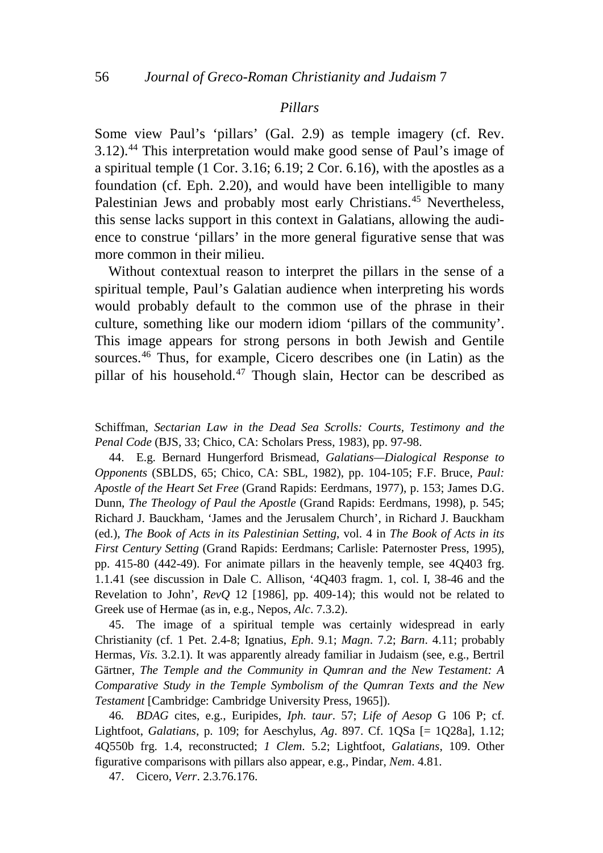#### *Pillars*

Some view Paul's 'pillars' (Gal. 2.9) as temple imagery (cf. Rev. 3.12).[44](#page-5-0) This interpretation would make good sense of Paul's image of a spiritual temple (1 Cor. 3.16; 6.19; 2 Cor. 6.16), with the apostles as a foundation (cf. Eph. 2.20), and would have been intelligible to many Palestinian Jews and probably most early Christians.<sup>[45](#page-5-1)</sup> Nevertheless, this sense lacks support in this context in Galatians, allowing the audience to construe 'pillars' in the more general figurative sense that was more common in their milieu.

Without contextual reason to interpret the pillars in the sense of a spiritual temple, Paul's Galatian audience when interpreting his words would probably default to the common use of the phrase in their culture, something like our modern idiom 'pillars of the community'. This image appears for strong persons in both Jewish and Gentile sources. [46](#page-5-2) Thus, for example, Cicero describes one (in Latin) as the pillar of his household.<sup>[47](#page-5-3)</sup> Though slain, Hector can be described as

Schiffman, *Sectarian Law in the Dead Sea Scrolls: Courts, Testimony and the Penal Code* (BJS, 33; Chico, CA: Scholars Press, 1983), pp. 97-98.

<span id="page-5-0"></span>44. E.g. Bernard Hungerford Brismead, *Galatians—Dialogical Response to Opponents* (SBLDS, 65; Chico, CA: SBL, 1982), pp. 104-105; F.F. Bruce, *Paul: Apostle of the Heart Set Free* (Grand Rapids: Eerdmans, 1977), p. 153; James D.G. Dunn, *The Theology of Paul the Apostle* (Grand Rapids: Eerdmans, 1998), p. 545; Richard J. Bauckham, 'James and the Jerusalem Church', in Richard J. Bauckham (ed.), *The Book of Acts in its Palestinian Setting*, vol. 4 in *The Book of Acts in its First Century Setting* (Grand Rapids: Eerdmans; Carlisle: Paternoster Press, 1995), pp. 415-80 (442-49). For animate pillars in the heavenly temple, see 4Q403 frg. 1.1.41 (see discussion in Dale C. Allison, '4Q403 fragm. 1, col. I, 38-46 and the Revelation to John', *RevQ* 12 [1986], pp. 409-14); this would not be related to Greek use of Hermae (as in, e.g., Nepos, *Alc*. 7.3.2).

<span id="page-5-1"></span>45. The image of a spiritual temple was certainly widespread in early Christianity (cf. 1 Pet. 2.4-8; Ignatius, *Eph*. 9.1; *Magn*. 7.2; *Barn*. 4.11; probably Hermas, *Vis.* 3.2.1). It was apparently already familiar in Judaism (see, e.g., Bertril Gärtner, *The Temple and the Community in Qumran and the New Testament: A Comparative Study in the Temple Symbolism of the Qumran Texts and the New Testament* [Cambridge: Cambridge University Press, 1965]).

<span id="page-5-2"></span>46*. BDAG* cites, e.g., Euripides, *Iph. taur*. 57; *Life of Aesop* G 106 P; cf. Lightfoot, *Galatians*, p. 109; for Aeschylus, *Ag*. 897. Cf. 1QSa [= 1Q28a], 1.12; 4Q550b frg. 1.4, reconstructed; *1 Clem*. 5.2; Lightfoot, *Galatians*, 109. Other figurative comparisons with pillars also appear, e.g., Pindar, *Nem*. 4.81.

<span id="page-5-3"></span>47. Cicero, *Verr*. 2.3.76.176.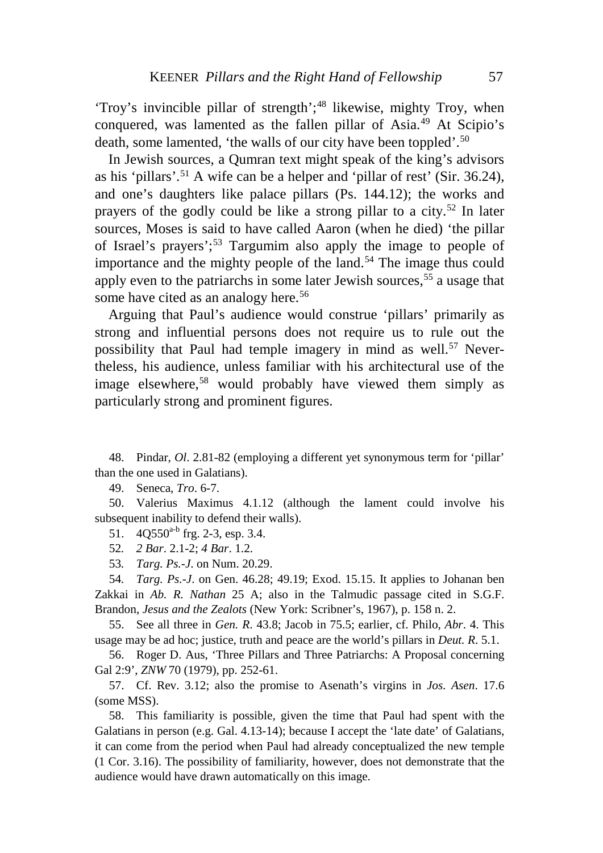'Troy's invincible pillar of strength';<sup>[48](#page-6-0)</sup> likewise, mighty Troy, when conquered, was lamented as the fallen pillar of Asia.[49](#page-6-1) At Scipio's death, some lamented, 'the walls of our city have been toppled'.<sup>[50](#page-6-2)</sup>

In Jewish sources, a Qumran text might speak of the king's advisors as his 'pillars'. [51](#page-6-3) A wife can be a helper and 'pillar of rest' (Sir. 36.24), and one's daughters like palace pillars (Ps. 144.12); the works and prayers of the godly could be like a strong pillar to a city.<sup>[52](#page-6-4)</sup> In later sources, Moses is said to have called Aaron (when he died) 'the pillar of Israel's prayers'; [53](#page-6-5) Targumim also apply the image to people of importance and the mighty people of the land.<sup>[54](#page-6-6)</sup> The image thus could apply even to the patriarchs in some later Jewish sources,  $55$  a usage that some have cited as an analogy here.<sup>[56](#page-6-8)</sup>

Arguing that Paul's audience would construe 'pillars' primarily as strong and influential persons does not require us to rule out the possibility that Paul had temple imagery in mind as well.<sup>[57](#page-6-9)</sup> Nevertheless, his audience, unless familiar with his architectural use of the image elsewhere,<sup>[58](#page-6-10)</sup> would probably have viewed them simply as particularly strong and prominent figures.

<span id="page-6-0"></span>48. Pindar, *Ol*. 2.81-82 (employing a different yet synonymous term for 'pillar' than the one used in Galatians).

49. Seneca, *Tro*. 6-7.

<span id="page-6-3"></span><span id="page-6-2"></span><span id="page-6-1"></span>50. Valerius Maximus 4.1.12 (although the lament could involve his subsequent inability to defend their walls).

51.  $4Q550^{a-b}$  frg. 2-3, esp. 3.4.

52*. 2 Bar*. 2.1-2; *4 Bar*. 1.2.

53*. Targ. Ps.-J*. on Num. 20.29.

<span id="page-6-6"></span><span id="page-6-5"></span><span id="page-6-4"></span>54*. Targ. Ps.-J*. on Gen. 46.28; 49.19; Exod. 15.15. It applies to Johanan ben Zakkai in *Ab. R. Nathan* 25 A; also in the Talmudic passage cited in S.G.F. Brandon, *Jesus and the Zealots* (New York: Scribner's, 1967), p. 158 n. 2.

<span id="page-6-7"></span>55. See all three in *Gen. R*. 43.8; Jacob in 75.5; earlier, cf. Philo, *Abr*. 4. This usage may be ad hoc; justice, truth and peace are the world's pillars in *Deut. R*. 5.1.

<span id="page-6-8"></span>56. Roger D. Aus, 'Three Pillars and Three Patriarchs: A Proposal concerning Gal 2:9', *ZNW* 70 (1979), pp. 252-61.

<span id="page-6-9"></span>57. Cf. Rev. 3.12; also the promise to Asenath's virgins in *Jos. Asen*. 17.6 (some MSS).

<span id="page-6-10"></span>58. This familiarity is possible, given the time that Paul had spent with the Galatians in person (e.g. Gal. 4.13-14); because I accept the 'late date' of Galatians, it can come from the period when Paul had already conceptualized the new temple (1 Cor. 3.16). The possibility of familiarity, however, does not demonstrate that the audience would have drawn automatically on this image.